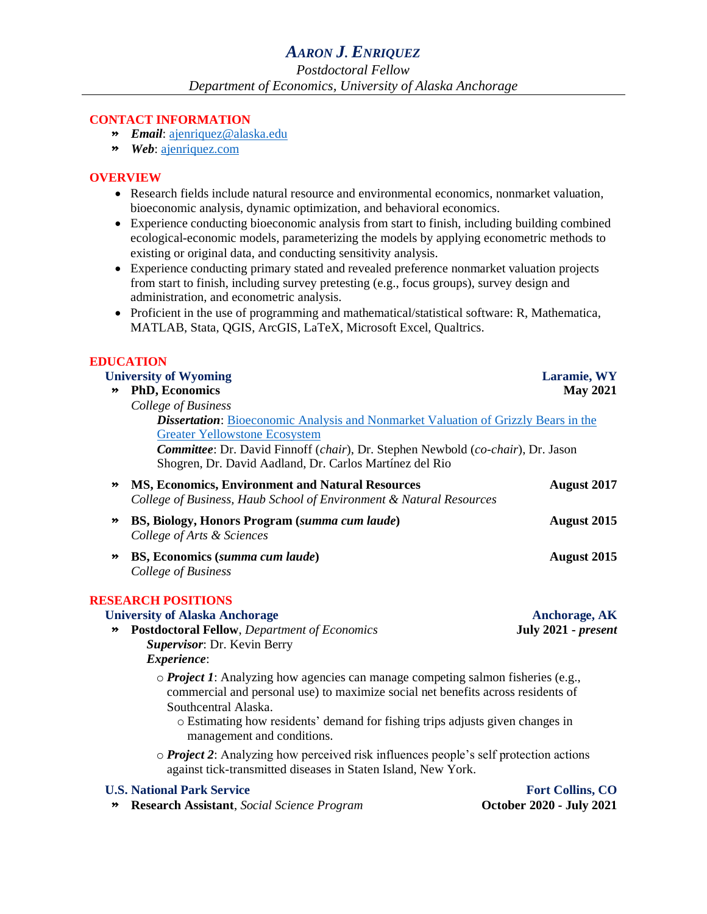### **CONTACT INFORMATION**

- » *Email*: [ajenriquez@alaska.edu](mailto:ajenriquez@alaska.edu)
- » *Web*: [ajenriquez.com](https://www.ajenriquez.com/)

#### **OVERVIEW**

- Research fields include natural resource and environmental economics, nonmarket valuation, bioeconomic analysis, dynamic optimization, and behavioral economics.
- Experience conducting bioeconomic analysis from start to finish, including building combined ecological-economic models, parameterizing the models by applying econometric methods to existing or original data, and conducting sensitivity analysis.
- Experience conducting primary stated and revealed preference nonmarket valuation projects from start to finish, including survey pretesting (e.g., focus groups), survey design and administration, and econometric analysis.
- Proficient in the use of programming and mathematical/statistical software: R, Mathematica, MATLAB, Stata, QGIS, ArcGIS, LaTeX, Microsoft Excel, Qualtrics.

### **EDUCATION**

| <b>University of Wyoming</b> |                                                                                                                                                                                                                                                                                                                           | Laramie, WY             |  |
|------------------------------|---------------------------------------------------------------------------------------------------------------------------------------------------------------------------------------------------------------------------------------------------------------------------------------------------------------------------|-------------------------|--|
| $\rightarrow$                | <b>PhD, Economics</b>                                                                                                                                                                                                                                                                                                     | <b>May 2021</b>         |  |
|                              | College of Business                                                                                                                                                                                                                                                                                                       |                         |  |
|                              | <b>Dissertation:</b> Bioeconomic Analysis and Nonmarket Valuation of Grizzly Bears in the                                                                                                                                                                                                                                 |                         |  |
|                              | <b>Greater Yellowstone Ecosystem</b>                                                                                                                                                                                                                                                                                      |                         |  |
|                              | Committee: Dr. David Finnoff (chair), Dr. Stephen Newbold (co-chair), Dr. Jason<br>Shogren, Dr. David Aadland, Dr. Carlos Martínez del Rio                                                                                                                                                                                |                         |  |
| $\rightarrow$                | MS, Economics, Environment and Natural Resources<br>College of Business, Haub School of Environment & Natural Resources                                                                                                                                                                                                   | <b>August 2017</b>      |  |
| ≫                            | BS, Biology, Honors Program (summa cum laude)<br>College of Arts & Sciences                                                                                                                                                                                                                                               | <b>August 2015</b>      |  |
| ≫                            | BS, Economics (summa cum laude)<br>College of Business                                                                                                                                                                                                                                                                    | August 2015             |  |
|                              | <b>RESEARCH POSITIONS</b>                                                                                                                                                                                                                                                                                                 |                         |  |
|                              | <b>University of Alaska Anchorage</b>                                                                                                                                                                                                                                                                                     | <b>Anchorage, AK</b>    |  |
| $\pmb{\gg}$                  | <b>Postdoctoral Fellow, Department of Economics</b><br>Supervisor: Dr. Kevin Berry                                                                                                                                                                                                                                        | July 2021 - present     |  |
|                              | Experience:                                                                                                                                                                                                                                                                                                               |                         |  |
|                              | $\circ$ <i>Project 1</i> : Analyzing how agencies can manage competing salmon fisheries (e.g.,<br>commercial and personal use) to maximize social net benefits across residents of<br>Southcentral Alaska.<br>o Estimating how residents' demand for fishing trips adjusts given changes in<br>management and conditions. |                         |  |
|                              | o Project 2: Analyzing how perceived risk influences people's self protection actions                                                                                                                                                                                                                                     |                         |  |
|                              | against tick-transmitted diseases in Staten Island, New York.                                                                                                                                                                                                                                                             |                         |  |
|                              | <b>U.S. National Park Service</b>                                                                                                                                                                                                                                                                                         | <b>Fort Collins, CO</b> |  |

## » **Research Assistant**, *Social Science Program* **October 2020 - July 2021**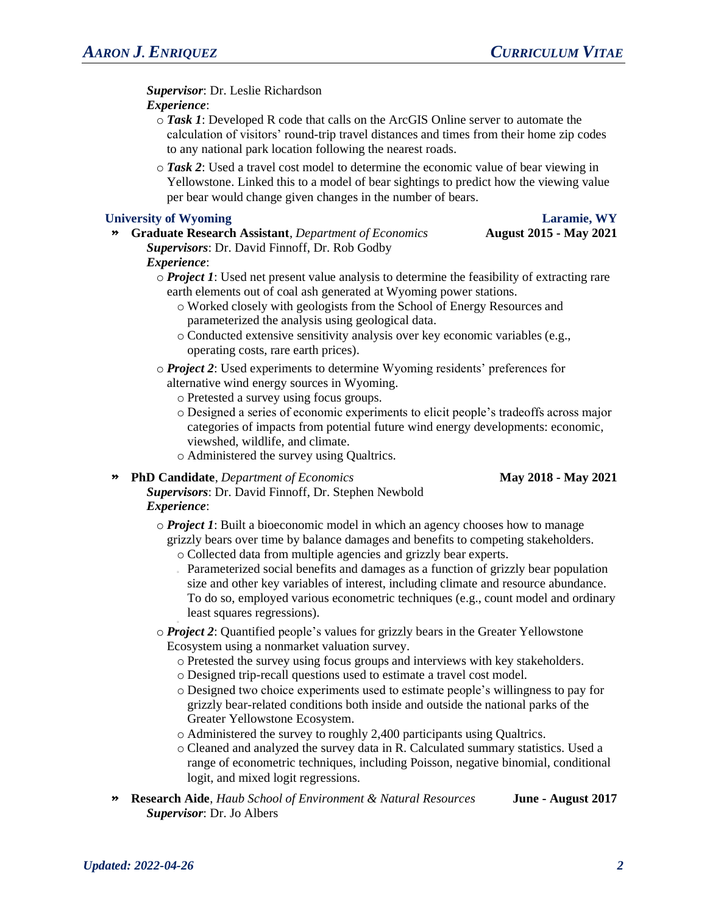*Supervisor*: Dr. Leslie Richardson *Experience*:

- o *Task 1*: Developed R code that calls on the ArcGIS Online server to automate the calculation of visitors' round-trip travel distances and times from their home zip codes to any national park location following the nearest roads.
- o *Task 2*: Used a travel cost model to determine the economic value of bear viewing in Yellowstone. Linked this to a model of bear sightings to predict how the viewing value per bear would change given changes in the number of bears.

## **University of Wyoming Laramie, WY**

» **Graduate Research Assistant**, *Department of Economics* **August 2015 - May 2021** *Supervisors*: Dr. David Finnoff, Dr. Rob Godby

## *Experience*:

- o *Project 1*: Used net present value analysis to determine the feasibility of extracting rare earth elements out of coal ash generated at Wyoming power stations.
	- o Worked closely with geologists from the School of Energy Resources and parameterized the analysis using geological data.
	- o Conducted extensive sensitivity analysis over key economic variables (e.g., operating costs, rare earth prices).
- o *Project 2*: Used experiments to determine Wyoming residents' preferences for alternative wind energy sources in Wyoming.
	- o Pretested a survey using focus groups.
	- o Designed a series of economic experiments to elicit people's tradeoffs across major categories of impacts from potential future wind energy developments: economic, viewshed, wildlife, and climate.
	- o Administered the survey using Qualtrics.

## » **PhD Candidate**, *Department of Economics* **May 2018 - May 2021**

- *Supervisors*: Dr. David Finnoff, Dr. Stephen Newbold *Experience*:
	- o *Project 1*: Built a bioeconomic model in which an agency chooses how to manage grizzly bears over time by balance damages and benefits to competing stakeholders. o Collected data from multiple agencies and grizzly bear experts.
		- Parameterized social benefits and damages as a function of grizzly bear population size and other key variables of interest, including climate and resource abundance. To do so, employed various econometric techniques (e.g., count model and ordinary least squares regressions).
	- o *Project 2*: Quantified people's values for grizzly bears in the Greater Yellowstone Ecosystem using a nonmarket valuation survey.
		- o Pretested the survey using focus groups and interviews with key stakeholders.
		- o Designed trip-recall questions used to estimate a travel cost model.
		- o Designed two choice experiments used to estimate people's willingness to pay for grizzly bear-related conditions both inside and outside the national parks of the Greater Yellowstone Ecosystem.
		- o Administered the survey to roughly 2,400 participants using Qualtrics.
		- o Cleaned and analyzed the survey data in R. Calculated summary statistics. Used a range of econometric techniques, including Poisson, negative binomial, conditional logit, and mixed logit regressions.
- » **Research Aide**, *Haub School of Environment & Natural Resources* **June - August 2017** *Supervisor*: Dr. Jo Albers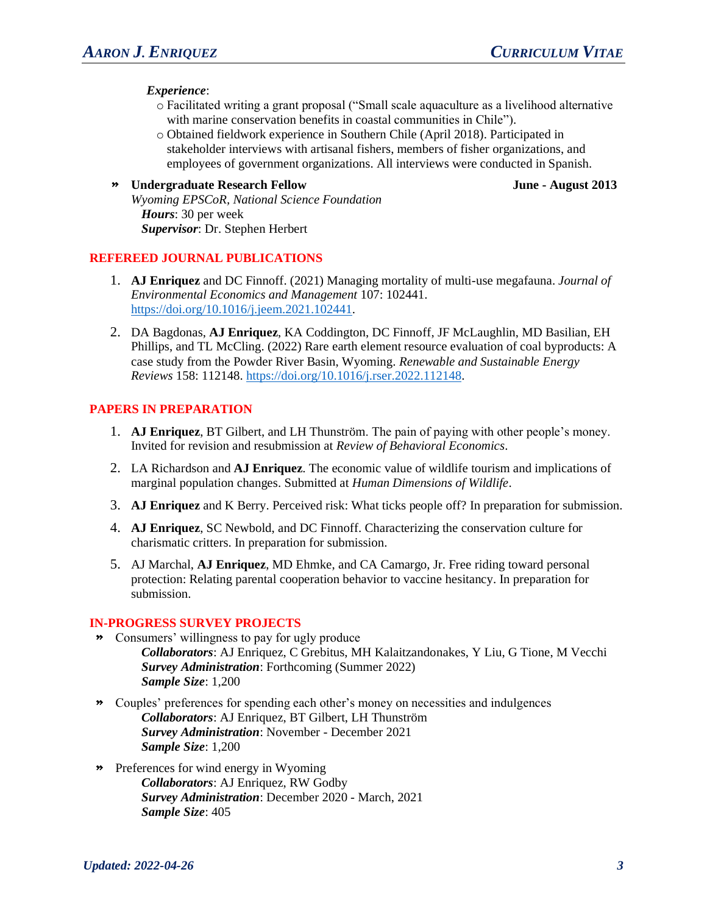*Experience*:

- o Facilitated writing a grant proposal ("Small scale aquaculture as a livelihood alternative with marine conservation benefits in coastal communities in Chile").
- o Obtained fieldwork experience in Southern Chile (April 2018). Participated in stakeholder interviews with artisanal fishers, members of fisher organizations, and employees of government organizations. All interviews were conducted in Spanish.

## » **Undergraduate Research Fellow June - August 2013**

*Wyoming EPSCoR, National Science Foundation Hours*: 30 per week *Supervisor*: Dr. Stephen Herbert

### **REFEREED JOURNAL PUBLICATIONS**

- 1. **AJ Enriquez** and DC Finnoff. (2021) Managing mortality of multi-use megafauna. *Journal of Environmental Economics and Management* 107: 102441. [https://doi.org/10.1016/j.jeem.2021.102441.](https://doi.org/10.1016/j.jeem.2021.102441)
- 2. DA Bagdonas, **AJ Enriquez**, KA Coddington, DC Finnoff, JF McLaughlin, MD Basilian, EH Phillips, and TL McCling. (2022) Rare earth element resource evaluation of coal byproducts: A case study from the Powder River Basin, Wyoming. *Renewable and Sustainable Energy Reviews* 158: 112148. [https://doi.org/10.1016/j.rser.2022.112148.](https://doi.org/10.1016/j.rser.2022.112148)

## **PAPERS IN PREPARATION**

- 1. **AJ Enriquez**, BT Gilbert, and LH Thunström. The pain of paying with other people's money. Invited for revision and resubmission at *Review of Behavioral Economics*.
- 2. LA Richardson and **AJ Enriquez**. The economic value of wildlife tourism and implications of marginal population changes. Submitted at *Human Dimensions of Wildlife*.
- 3. **AJ Enriquez** and K Berry. Perceived risk: What ticks people off? In preparation for submission.
- 4. **AJ Enriquez**, SC Newbold, and DC Finnoff. Characterizing the conservation culture for charismatic critters. In preparation for submission.
- 5. AJ Marchal, **AJ Enriquez**, MD Ehmke, and CA Camargo, Jr. Free riding toward personal protection: Relating parental cooperation behavior to vaccine hesitancy. In preparation for submission.

### **IN-PROGRESS SURVEY PROJECTS**

- » Consumers' willingness to pay for ugly produce *Collaborators*: AJ Enriquez, C Grebitus, MH Kalaitzandonakes, Y Liu, G Tione, M Vecchi *Survey Administration*: Forthcoming (Summer 2022) *Sample Size*: 1,200
- » Couples' preferences for spending each other's money on necessities and indulgences *Collaborators*: AJ Enriquez, BT Gilbert, LH Thunström *Survey Administration*: November - December 2021 *Sample Size*: 1,200
- » Preferences for wind energy in Wyoming *Collaborators*: AJ Enriquez, RW Godby *Survey Administration*: December 2020 - March, 2021 *Sample Size*: 405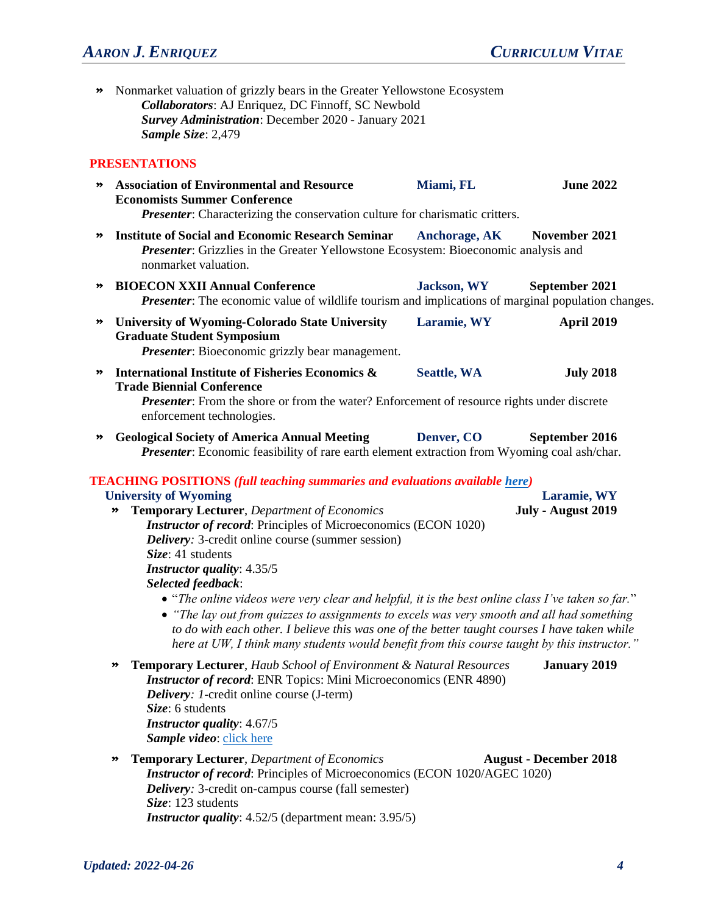# *AARON J. ENRIQUEZ CURRICULUM VITAE*

» Nonmarket valuation of grizzly bears in the Greater Yellowstone Ecosystem *Collaborators*: AJ Enriquez, DC Finnoff, SC Newbold *Survey Administration*: December 2020 - January 2021 *Sample Size*: 2,479

### **PRESENTATIONS**

- » **Association of Environmental and Resource Economists Summer Conference Miami, FL June 2022** *Presenter:* Characterizing the conservation culture for charismatic critters.
- » **Institute of Social and Economic Research Seminar Anchorage, AK November 2021** *Presenter*: Grizzlies in the Greater Yellowstone Ecosystem: Bioeconomic analysis and nonmarket valuation.
- » **BIOECON XXII Annual Conference Jackson, WY September 2021** *Presenter*: The economic value of wildlife tourism and implications of marginal population changes.
- » **University of Wyoming-Colorado State University Graduate Student Symposium Laramie, WY April 2019** *Presenter*: Bioeconomic grizzly bear management.
- » **International Institute of Fisheries Economics & Trade Biennial Conference Seattle, WA July 2018**

*Presenter*: From the shore or from the water? Enforcement of resource rights under discrete enforcement technologies.

» **Geological Society of America Annual Meeting Denver, CO September 2016** *Presenter*: Economic feasibility of rare earth element extraction from Wyoming coal ash/char.

### **TEACHING POSITIONS** *(full teaching summaries and evaluations available [here\)](https://www.ajenriquez.com/teaching)*

## **University of Wyoming Laramie, WY** » **Temporary Lecturer**, *Department of Economics* **July - August 2019** *Instructor of record*: Principles of Microeconomics (ECON 1020) *Delivery:* 3-credit online course (summer session) *Size*: 41 students *Instructor quality*: 4.35/5 *Selected feedback*: • "*The online videos were very clear and helpful, it is the best online class I've taken so far.*" • *"The lay out from quizzes to assignments to excels was very smooth and all had something to do with each other. I believe this was one of the better taught courses I have taken while here at UW, I think many students would benefit from this course taught by this instructor."* » **Temporary Lecturer**, *Haub School of Environment & Natural Resources* **January 2019** *Instructor of record*: ENR Topics: Mini Microeconomics (ENR 4890) *Delivery: 1*-credit online course (J-term)

*Size*: 6 students *Instructor quality*: 4.67/5 *Sample video*: [click here](https://www.youtube.com/watch?v=qjA3sAak-cQ&list=PLKDelNq4_DIUMtC1SQGvLyxZDx6ifQ_f5&index=23)

## » **Temporary Lecturer**, *Department of Economics* **August - December 2018** *Instructor of record*: Principles of Microeconomics (ECON 1020/AGEC 1020) *Delivery:* 3-credit on-campus course (fall semester) *Size*: 123 students *Instructor quality*: 4.52/5 (department mean: 3.95/5)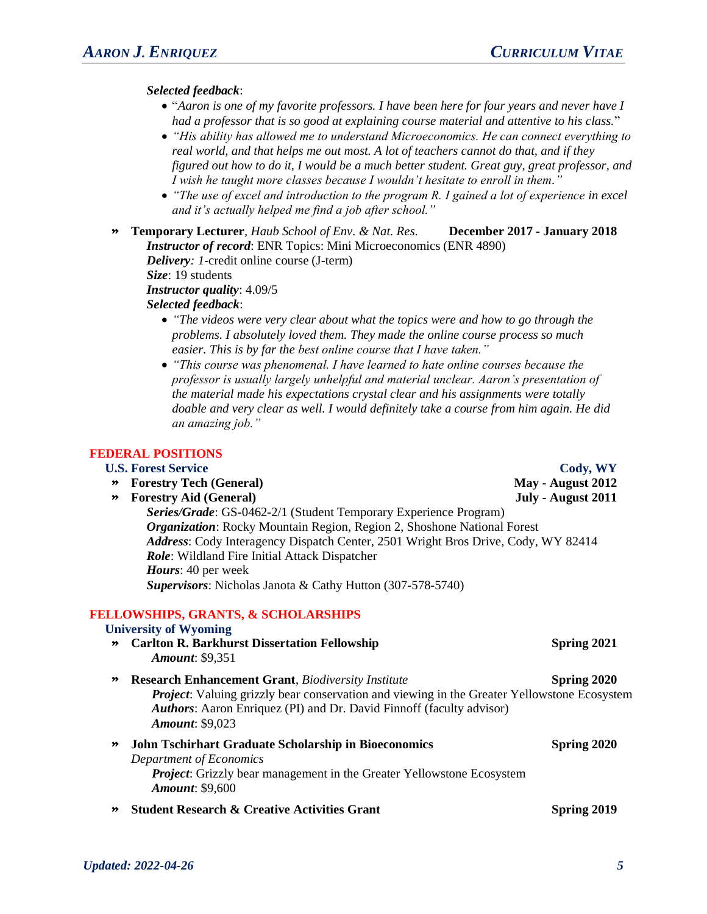## *Selected feedback*:

- "*Aaron is one of my favorite professors. I have been here for four years and never have I had a professor that is so good at explaining course material and attentive to his class.*"
- *"His ability has allowed me to understand Microeconomics. He can connect everything to real world, and that helps me out most. A lot of teachers cannot do that, and if they figured out how to do it, I would be a much better student. Great guy, great professor, and I wish he taught more classes because I wouldn't hesitate to enroll in them."*
- *"The use of excel and introduction to the program R. I gained a lot of experience in excel and it's actually helped me find a job after school."*
- » **Temporary Lecturer**, *Haub School of Env. & Nat. Res.* **December 2017 - January 2018** *Instructor of record*: ENR Topics: Mini Microeconomics (ENR 4890) *Delivery: 1*-credit online course (J-term)

*Size*: 19 students

*Instructor quality*: 4.09/5

*Selected feedback*:

- *"The videos were very clear about what the topics were and how to go through the problems. I absolutely loved them. They made the online course process so much easier. This is by far the best online course that I have taken."*
- *"This course was phenomenal. I have learned to hate online courses because the professor is usually largely unhelpful and material unclear. Aaron's presentation of the material made his expectations crystal clear and his assignments were totally doable and very clear as well. I would definitely take a course from him again. He did an amazing job."*

## **FEDERAL POSITIONS**

### **U.S. Forest Service Cody, WY**

- » **Forestry Tech (General) May - August 2012**
- » **Forestry Aid (General) July - August 2011**
	- *Series/Grade*: GS-0462-2/1 (Student Temporary Experience Program) *Organization*: Rocky Mountain Region, Region 2, Shoshone National Forest *Address*: Cody Interagency Dispatch Center, 2501 Wright Bros Drive, Cody, WY 82414 *Role*: Wildland Fire Initial Attack Dispatcher *Hours*: 40 per week *Supervisors*: Nicholas Janota & Cathy Hutton (307-578-5740)

### **FELLOWSHIPS, GRANTS, & SCHOLARSHIPS**

## **University of Wyoming**

- » **Carlton R. Barkhurst Dissertation Fellowship Spring 2021** *Amount*: \$9,351
- » **Research Enhancement Grant**, *Biodiversity Institute* **Spring 2020** *Project*: Valuing grizzly bear conservation and viewing in the Greater Yellowstone Ecosystem *Authors*: Aaron Enriquez (PI) and Dr. David Finnoff (faculty advisor) *Amount*: \$9,023
- » **John Tschirhart Graduate Scholarship in Bioeconomics Spring 2020** *Department of Economics Project*: Grizzly bear management in the Greater Yellowstone Ecosystem *Amount*: \$9,600
- » **Student Research & Creative Activities Grant Spring 2019**

*Updated: 2022-04-26 5*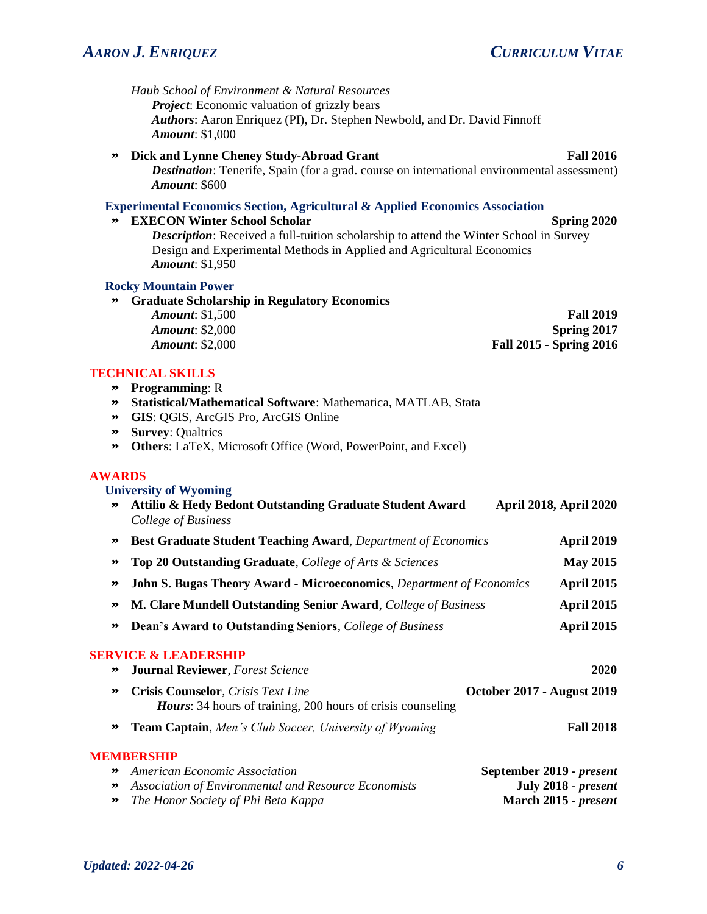|                                                                                              | Haub School of Environment & Natural Resources<br><b>Project:</b> Economic valuation of grizzly bears<br>Authors: Aaron Enriquez (PI), Dr. Stephen Newbold, and Dr. David Finnoff<br><b>Amount: \$1,000</b>                                                                                                                 |                                                                   |
|----------------------------------------------------------------------------------------------|-----------------------------------------------------------------------------------------------------------------------------------------------------------------------------------------------------------------------------------------------------------------------------------------------------------------------------|-------------------------------------------------------------------|
| ≫                                                                                            | Dick and Lynne Cheney Study-Abroad Grant<br><b>Destination:</b> Tenerife, Spain (for a grad. course on international environmental assessment)<br><b>Amount: \$600</b>                                                                                                                                                      | <b>Fall 2016</b>                                                  |
| $\rightarrow$                                                                                | <b>Experimental Economics Section, Agricultural &amp; Applied Economics Association</b><br><b>EXECON Winter School Scholar</b><br>Description: Received a full-tuition scholarship to attend the Winter School in Survey<br>Design and Experimental Methods in Applied and Agricultural Economics<br><b>Amount: \$1,950</b> | Spring 2020                                                       |
| $\rightarrow$                                                                                | <b>Rocky Mountain Power</b><br><b>Graduate Scholarship in Regulatory Economics</b><br><b>Amount: \$1,500</b><br><b>Amount: \$2,000</b><br><b>Amount: \$2,000</b>                                                                                                                                                            | <b>Fall 2019</b><br>Spring 2017<br><b>Fall 2015 - Spring 2016</b> |
| $\boldsymbol{\ast}$<br>$\rightarrow$<br>$\rightarrow$<br>$\rightarrow$<br>$\boldsymbol{\gg}$ | <b>TECHNICAL SKILLS</b><br><b>Programming: R</b><br>Statistical/Mathematical Software: Mathematica, MATLAB, Stata<br>GIS: QGIS, ArcGIS Pro, ArcGIS Online<br><b>Survey: Qualtrics</b><br>Others: LaTeX, Microsoft Office (Word, PowerPoint, and Excel)                                                                      |                                                                   |
| <b>AWARDS</b><br>»                                                                           | <b>University of Wyoming</b><br>Attilio & Hedy Bedont Outstanding Graduate Student Award<br>College of Business                                                                                                                                                                                                             | <b>April 2018, April 2020</b>                                     |
| $\boldsymbol{\ast}$                                                                          | <b>Best Graduate Student Teaching Award, Department of Economics</b>                                                                                                                                                                                                                                                        | <b>April 2019</b>                                                 |
| $\rightarrow$                                                                                | Top 20 Outstanding Graduate, College of Arts & Sciences                                                                                                                                                                                                                                                                     | <b>May 2015</b>                                                   |
| ≫                                                                                            | <b>John S. Bugas Theory Award - Microeconomics, Department of Economics</b>                                                                                                                                                                                                                                                 | <b>April 2015</b>                                                 |
|                                                                                              | M. Clare Mundell Outstanding Senior Award, College of Business                                                                                                                                                                                                                                                              | <b>April 2015</b>                                                 |
| ≫                                                                                            | <b>Dean's Award to Outstanding Seniors, College of Business</b>                                                                                                                                                                                                                                                             | April 2015                                                        |
| ≫                                                                                            | <b>SERVICE &amp; LEADERSHIP</b><br><b>Journal Reviewer</b> , Forest Science                                                                                                                                                                                                                                                 | 2020                                                              |
| ≫                                                                                            | <b>Crisis Counselor</b> , Crisis Text Line<br><i>Hours</i> : 34 hours of training, 200 hours of crisis counseling                                                                                                                                                                                                           | <b>October 2017 - August 2019</b>                                 |
| ≫                                                                                            | <b>Team Captain, Men's Club Soccer, University of Wyoming</b>                                                                                                                                                                                                                                                               | <b>Fall 2018</b>                                                  |
|                                                                                              | <b>MEMBERSHIP</b>                                                                                                                                                                                                                                                                                                           |                                                                   |
| ≫<br>≫                                                                                       | <b>American Economic Association</b><br>Association of Environmental and Resource Economists                                                                                                                                                                                                                                | September 2019 - present<br>July 2018 - present                   |

» *The Honor Society of Phi Beta Kappa* **March 2015 -** *present*